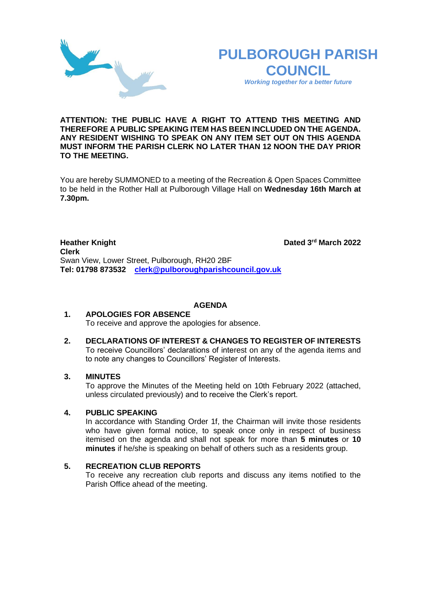



*Working together for a better future*

## **ATTENTION: THE PUBLIC HAVE A RIGHT TO ATTEND THIS MEETING AND THEREFORE A PUBLIC SPEAKING ITEM HAS BEEN INCLUDED ON THE AGENDA. ANY RESIDENT WISHING TO SPEAK ON ANY ITEM SET OUT ON THIS AGENDA MUST INFORM THE PARISH CLERK NO LATER THAN 12 NOON THE DAY PRIOR TO THE MEETING.**

You are hereby SUMMONED to a meeting of the Recreation & Open Spaces Committee to be held in the Rother Hall at Pulborough Village Hall on **Wednesday 16th March at 7.30pm.** 

**Heather Knight** Dated 3<sup>rd</sup> March 2022 **Clerk**  Swan View, Lower Street, Pulborough, RH20 2BF **Tel: 01798 873532 [clerk@pulboroughparishcouncil.gov.uk](mailto:clerk@pulboroughparishcouncil.gov.uk)**

### **AGENDA**

### **1. APOLOGIES FOR ABSENCE** To receive and approve the apologies for absence.

## **2. DECLARATIONS OF INTEREST & CHANGES TO REGISTER OF INTERESTS** To receive Councillors' declarations of interest on any of the agenda items and to note any changes to Councillors' Register of Interests.

# **3. MINUTES**

To approve the Minutes of the Meeting held on 10th February 2022 (attached, unless circulated previously) and to receive the Clerk's report.

# **4. PUBLIC SPEAKING**

In accordance with Standing Order 1f, the Chairman will invite those residents who have given formal notice, to speak once only in respect of business itemised on the agenda and shall not speak for more than **5 minutes** or **10 minutes** if he/she is speaking on behalf of others such as a residents group.

### **5. RECREATION CLUB REPORTS**

To receive any recreation club reports and discuss any items notified to the Parish Office ahead of the meeting.